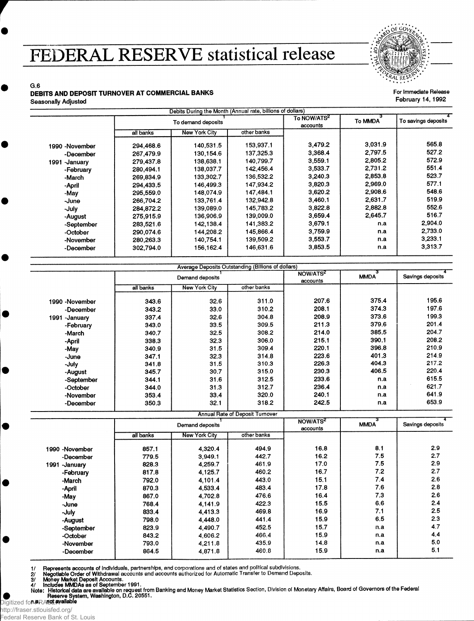## **FEDERAL RESERVE statistical release**



For Immediate Release February 14,1992

## G.6 **DEBITS AND DEPOSIT TURNOVER AT COMMERCIAL BANKS** Seasonally Adjusted

|                  |                    | Debits During the Month (Annual rate, billions of dollars) |             |                                     |         |                     |
|------------------|--------------------|------------------------------------------------------------|-------------|-------------------------------------|---------|---------------------|
|                  | To demand deposits |                                                            |             | To NOW/ATS <sup>2</sup><br>accounts | To MMDA | To savings deposits |
|                  | all banks          | <b>New York City</b>                                       | other banks |                                     |         |                     |
| 1990 -November   | 294,468.6          | 140,531.5                                                  | 153,937.1   | 3,479.2                             | 3.031.9 | 565.8               |
| -December        | 267.479.9          | 130,154.6                                                  | 137.325.3   | 3,368.4                             | 2.797.5 | 527.2               |
| 1991<br>-January | 279,437.8          | 138,638.1                                                  | 140.799.7   | 3,559.1                             | 2,805.2 | 572.9               |
| -February        | 280,494.1          | 138,037.7                                                  | 142.456.4   | 3.533.7                             | 2,731.2 | 551.4               |
| -March           | 269.834.9          | 133,302.7                                                  | 136,532.2   | 3,240.3                             | 2,853.8 | 523.7               |
| -April           | 294.433.5          | 146,499.3                                                  | 147,934.2   | 3.820.3                             | 2.969.0 | 577.1               |
| -May             | 295,559,0          | 148,074.9                                                  | 147.484.1   | 3,620.2                             | 2,908.6 | 548.6               |
| -June            | 266,704.2          | 133,761.4                                                  | 132.942.8   | 3,460.1                             | 2,631.7 | 519.9               |
| -July            | 284,872.2          | 139,089.0                                                  | 145.783.2   | 3,822.8                             | 2,882.8 | 552.6               |
| -August          | 275,915.9          | 136,906.9                                                  | 139,009.0   | 3,659.4                             | 2.645.7 | 516.7               |
| -September       | 283,521.6          | 142.138.4                                                  | 141,383.2   | 3,679.1                             | n.a     | 2.904.0             |
| -October         | 290.074.6          | 144,208.2                                                  | 145,866.4   | 3,759.9                             | n.a     | 2.733.0             |
| -November        | 280,263.3          | 140,754.1                                                  | 139,509.2   | 3,553.7                             | n.a     | 3,233.1             |
| -December        | 302,794.0          | 156.162.4                                                  | 146,631.6   | 3,853.5                             | n.a     | 3.313.7             |

|                | Average Deposits Outstanding (Billions of dollars)<br>Demand deposits |                      |             | NOW/ATS <sup>2</sup><br>accounts | <b>MMDA</b> | Savings deposits |
|----------------|-----------------------------------------------------------------------|----------------------|-------------|----------------------------------|-------------|------------------|
|                | all banks                                                             | <b>New York City</b> | other banks |                                  |             |                  |
| 1990 -November | 343.6                                                                 | 32.6                 | 311.0       | 207.6                            | 375.4       | 195.6            |
| -December      | 343.2                                                                 | 33.0                 | 310.2       | 208.1                            | 374.3       | 197.6            |
| 1991 - January | 337.4                                                                 | 32.6                 | 304.8       | 208.9                            | 373.6       | 199.3            |
| -February      | 343.0                                                                 | 33.5                 | 309.5       | 211.3                            | 379.6       | 201.4            |
| -March         | 340.7                                                                 | 32.5                 | 308.2       | 214.0                            | 385.5       | 204.7            |
| -April         | 338.3                                                                 | 32.3                 | 306.0       | 215.1                            | 390.1       | 208.2            |
| -May           | 340.9                                                                 | 31.5                 | 309.4       | 220.1                            | 396.8       | 210.9            |
| -June          | 347.1                                                                 | 32.3                 | 314.8       | 223.6                            | 401.3       | 214.9            |
| -July          | 341.8                                                                 | 31.5                 | 310.3       | 226.3                            | 404.3       | 217.2            |
| -August        | 345.7                                                                 | 30.7                 | 315.0       | 230.3                            | 406.5       | 220.4            |
| -September     | 344.1                                                                 | 31.6                 | 312.5       | 233.6                            | n.a         | 615.5            |
| -October       | 344.0                                                                 | 31.3                 | 312.7       | 236.4                            | n.a         | 621.7            |
| -November      | 353.4                                                                 | 33.4                 | 320.0       | 240.1                            | n.a         | 641.9            |
| -December      | 350.3                                                                 | 32.1                 | 318.2       | 242.5                            | n.a         | 653.9            |

| <b>Annual Rate of Deposit Turnover</b> |                 |                      |                |                                  |             |                  |  |  |  |
|----------------------------------------|-----------------|----------------------|----------------|----------------------------------|-------------|------------------|--|--|--|
|                                        | Demand deposits |                      |                | NOW/ATS <sup>2</sup><br>accounts | <b>MMDA</b> | Savings deposits |  |  |  |
|                                        | all banks       | <b>New York City</b> | other banks    |                                  |             |                  |  |  |  |
| 1990 -November<br>-December            | 857.1<br>779.5  | 4,320.4<br>3.949.1   | 494.9<br>442.7 | 16.8<br>16.2                     | 8.1<br>7.5  | 2.9<br>2.7       |  |  |  |
| 1991<br>-January                       | 828.3           | 4.259.7              | 461.9          | 17.0                             | 7.5         | 2.9              |  |  |  |
| -February                              | 817.8           | 4.125.7              | 460.2          | 16.7                             | 7.2         | 2.7              |  |  |  |
| -March                                 | 792.0           | 4,101.4              | 443.0          | 15.1                             | 7.4         | 2.6              |  |  |  |
| -April                                 | 870.3           | 4.533.4              | 483.4          | 17.8                             | 7.6         | 2.8              |  |  |  |
| -May                                   | 867.0           | 4.702.8              | 476.6          | 16.4                             | 7.3         | 2.6              |  |  |  |
| -June                                  | 768.4           | 4,141.9              | 422.3          | 15.5                             | 6.6         | 2.4              |  |  |  |
| -July                                  | 833.4           | 4.413.3              | 469.8          | 16.9                             | 7.1         | 2.5              |  |  |  |
| -August                                | 798.0           | 4.448.0              | 441.4          | 15.9                             | 6.5         | 2.3              |  |  |  |
| -September                             | 823.9           | 4.490.7              | 452.5          | 15.7                             | n.a         | 4.7              |  |  |  |
| -October                               | 843.2           | 4.606.2              | 466.4          | 15.9                             | n.a         | 4.4              |  |  |  |
| -November                              | 793.0           | 4,211.8              | 435.9          | 14.8                             | n.a         | 5.0              |  |  |  |
| -December                              | 864.5           | 4,871.8              | 460.8          | 15.9                             | n.a         | 5.1              |  |  |  |

1/ Represents accounts of individuals, partnerships, and corporations and of states and political subdivisions.<br>2/ Negotiable Order of Withdrawal accounts and accounts authorized for Automatic Transfer to Demand Deposits.<br>

Digitized fo**r F**RA**rgt available** 

http://fraser.stlouisfed.org/ Federal Reserve Bank of St. Louis